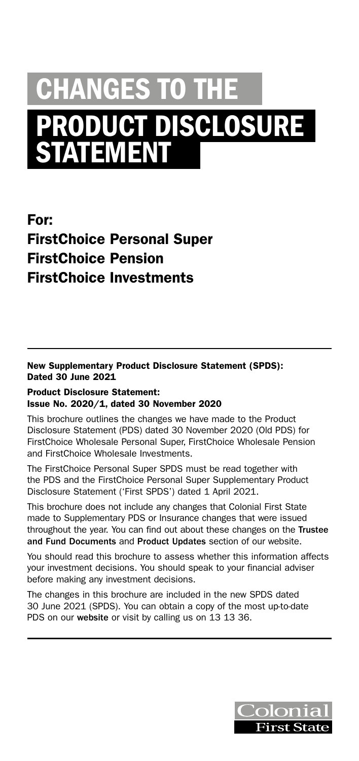# CHANGES TO THE PRODUCT DISCLOSURE **STATEMENT**

For: FirstChoice Personal Super FirstChoice Pension FirstChoice Investments

New Supplementary Product Disclosure Statement (SPDS): Dated 30 June 2021

#### Product Disclosure Statement: Issue No. 2020/1, dated 30 November 2020

This brochure outlines the changes we have made to the Product Disclosure Statement (PDS) dated 30 November 2020 (Old PDS) for FirstChoice Wholesale Personal Super, FirstChoice Wholesale Pension and FirstChoice Wholesale Investments.

The FirstChoice Personal Super SPDS must be read together with the PDS and the FirstChoice Personal Super Supplementary Product Disclosure Statement ('First SPDS') dated 1 April 2021.

This brochure does not include any changes that Colonial First State made to Supplementary PDS or Insurance changes that were issued throughout the year. You can find out about these changes on the [Trustee](https://www3.colonialfirststate.com.au/about-us/corporate-governance/trustee-and-fund-documents.html)  [and Fund Documents](https://www3.colonialfirststate.com.au/about-us/corporate-governance/trustee-and-fund-documents.html) and [Product Updates](https://www3.colonialfirststate.com.au/personal/products/products-and-update.html) section of our website.

You should read this brochure to assess whether this information affects your investment decisions. You should speak to your financial adviser before making any investment decisions.

The changes in this brochure are included in the new SPDS dated 30 June 2021 (SPDS). You can obtain a copy of the most up-to-date PDS on our [website](https://www3.colonialfirststate.com.au/personal/resources/pds.html) or visit by calling us on 13 13 36.

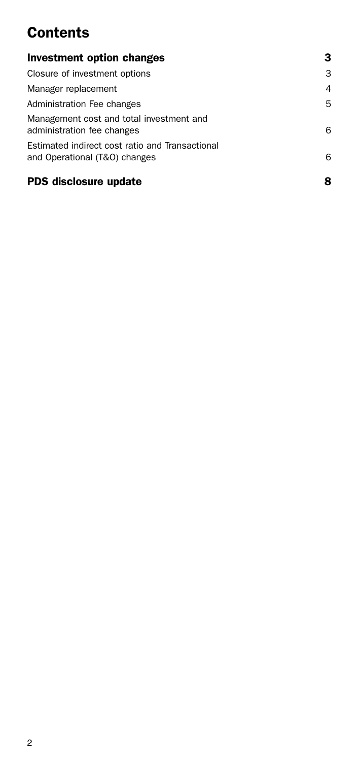# **Contents**

| Investment option changes                                                        | з |
|----------------------------------------------------------------------------------|---|
| Closure of investment options                                                    | 3 |
| Manager replacement                                                              | 4 |
| Administration Fee changes                                                       | 5 |
| Management cost and total investment and<br>administration fee changes           | 6 |
| Estimated indirect cost ratio and Transactional<br>and Operational (T&O) changes | 6 |
| PDS disclosure update                                                            | 8 |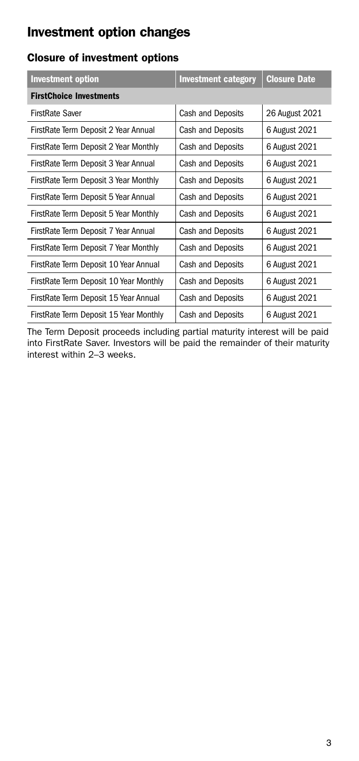## <span id="page-2-0"></span>Investment option changes

### Closure of investment options

| <b>Investment option</b>               | <b>Investment category</b> | <b>Closure Date</b> |  |
|----------------------------------------|----------------------------|---------------------|--|
| <b>FirstChoice Investments</b>         |                            |                     |  |
| FirstRate Saver                        | Cash and Deposits          | 26 August 2021      |  |
| FirstRate Term Deposit 2 Year Annual   | Cash and Deposits          | 6 August 2021       |  |
| FirstRate Term Deposit 2 Year Monthly  | Cash and Deposits          | 6 August 2021       |  |
| FirstRate Term Deposit 3 Year Annual   | Cash and Deposits          | 6 August 2021       |  |
| FirstRate Term Deposit 3 Year Monthly  | Cash and Deposits          | 6 August 2021       |  |
| FirstRate Term Deposit 5 Year Annual   | Cash and Deposits          | 6 August 2021       |  |
| FirstRate Term Deposit 5 Year Monthly  | Cash and Deposits          | 6 August 2021       |  |
| FirstRate Term Deposit 7 Year Annual   | Cash and Deposits          | 6 August 2021       |  |
| FirstRate Term Deposit 7 Year Monthly  | Cash and Deposits          | 6 August 2021       |  |
| FirstRate Term Deposit 10 Year Annual  | Cash and Deposits          | 6 August 2021       |  |
| FirstRate Term Deposit 10 Year Monthly | Cash and Deposits          | 6 August 2021       |  |
| FirstRate Term Deposit 15 Year Annual  | Cash and Deposits          | 6 August 2021       |  |
| FirstRate Term Deposit 15 Year Monthly | Cash and Deposits          | 6 August 2021       |  |

The Term Deposit proceeds including partial maturity interest will be paid into FirstRate Saver. Investors will be paid the remainder of their maturity interest within 2–3 weeks.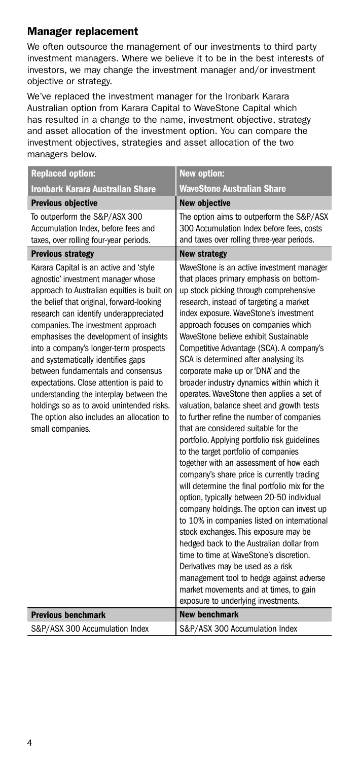#### <span id="page-3-0"></span>Manager replacement

We often outsource the management of our investments to third party investment managers. Where we believe it to be in the best interests of investors, we may change the investment manager and/or investment objective or strategy.

We've replaced the investment manager for the Ironbark Karara Australian option from Karara Capital to WaveStone Capital which has resulted in a change to the name, investment objective, strategy and asset allocation of the investment option. You can compare the investment objectives, strategies and asset allocation of the two managers below.

| <b>Replaced option:</b>                                                                                                                                                                                                                                                                                                                                                                                                                                                                                                                                                                                                       | <b>New option:</b>                                                                                                                                                                                                                                                                                                                                                                                                                                                                                                                                                                                                                                                                                                                                                                                                                                                                                                                                                                                                                                                                                                                                                                                                                                                                                                                           |
|-------------------------------------------------------------------------------------------------------------------------------------------------------------------------------------------------------------------------------------------------------------------------------------------------------------------------------------------------------------------------------------------------------------------------------------------------------------------------------------------------------------------------------------------------------------------------------------------------------------------------------|----------------------------------------------------------------------------------------------------------------------------------------------------------------------------------------------------------------------------------------------------------------------------------------------------------------------------------------------------------------------------------------------------------------------------------------------------------------------------------------------------------------------------------------------------------------------------------------------------------------------------------------------------------------------------------------------------------------------------------------------------------------------------------------------------------------------------------------------------------------------------------------------------------------------------------------------------------------------------------------------------------------------------------------------------------------------------------------------------------------------------------------------------------------------------------------------------------------------------------------------------------------------------------------------------------------------------------------------|
| <b>Ironbark Karara Australian Share</b>                                                                                                                                                                                                                                                                                                                                                                                                                                                                                                                                                                                       | <b>WaveStone Australian Share</b>                                                                                                                                                                                                                                                                                                                                                                                                                                                                                                                                                                                                                                                                                                                                                                                                                                                                                                                                                                                                                                                                                                                                                                                                                                                                                                            |
| <b>Previous objective</b>                                                                                                                                                                                                                                                                                                                                                                                                                                                                                                                                                                                                     | <b>New objective</b>                                                                                                                                                                                                                                                                                                                                                                                                                                                                                                                                                                                                                                                                                                                                                                                                                                                                                                                                                                                                                                                                                                                                                                                                                                                                                                                         |
| To outperform the S&P/ASX 300<br>Accumulation Index, before fees and<br>taxes, over rolling four-year periods.                                                                                                                                                                                                                                                                                                                                                                                                                                                                                                                | The option aims to outperform the S&P/ASX<br>300 Accumulation Index before fees, costs<br>and taxes over rolling three-year periods.                                                                                                                                                                                                                                                                                                                                                                                                                                                                                                                                                                                                                                                                                                                                                                                                                                                                                                                                                                                                                                                                                                                                                                                                         |
| <b>Previous strategy</b>                                                                                                                                                                                                                                                                                                                                                                                                                                                                                                                                                                                                      | <b>New strategy</b>                                                                                                                                                                                                                                                                                                                                                                                                                                                                                                                                                                                                                                                                                                                                                                                                                                                                                                                                                                                                                                                                                                                                                                                                                                                                                                                          |
| Karara Capital is an active and 'style<br>agnostic' investment manager whose<br>approach to Australian equities is built on<br>the belief that original, forward-looking<br>research can identify underappreciated<br>companies. The investment approach<br>emphasises the development of insights<br>into a company's longer-term prospects<br>and systematically identifies gaps<br>between fundamentals and consensus<br>expectations. Close attention is paid to<br>understanding the interplay between the<br>holdings so as to avoid unintended risks.<br>The option also includes an allocation to<br>small companies. | WaveStone is an active investment manager<br>that places primary emphasis on bottom-<br>up stock picking through comprehensive<br>research, instead of targeting a market<br>index exposure. WaveStone's investment<br>approach focuses on companies which<br>WaveStone believe exhibit Sustainable<br>Competitive Advantage (SCA). A company's<br>SCA is determined after analysing its<br>corporate make up or 'DNA' and the<br>broader industry dynamics within which it<br>operates. WaveStone then applies a set of<br>valuation, balance sheet and growth tests<br>to further refine the number of companies<br>that are considered suitable for the<br>portfolio. Applying portfolio risk guidelines<br>to the target portfolio of companies<br>together with an assessment of how each<br>company's share price is currently trading<br>will determine the final portfolio mix for the<br>option, typically between 20-50 individual<br>company holdings. The option can invest up<br>to 10% in companies listed on international<br>stock exchanges. This exposure may be<br>hedged back to the Australian dollar from<br>time to time at WaveStone's discretion.<br>Derivatives may be used as a risk<br>management tool to hedge against adverse<br>market movements and at times, to gain<br>exposure to underlying investments. |
| <b>Previous benchmark</b>                                                                                                                                                                                                                                                                                                                                                                                                                                                                                                                                                                                                     | <b>New benchmark</b>                                                                                                                                                                                                                                                                                                                                                                                                                                                                                                                                                                                                                                                                                                                                                                                                                                                                                                                                                                                                                                                                                                                                                                                                                                                                                                                         |
| S&P/ASX 300 Accumulation Index                                                                                                                                                                                                                                                                                                                                                                                                                                                                                                                                                                                                | S&P/ASX 300 Accumulation Index                                                                                                                                                                                                                                                                                                                                                                                                                                                                                                                                                                                                                                                                                                                                                                                                                                                                                                                                                                                                                                                                                                                                                                                                                                                                                                               |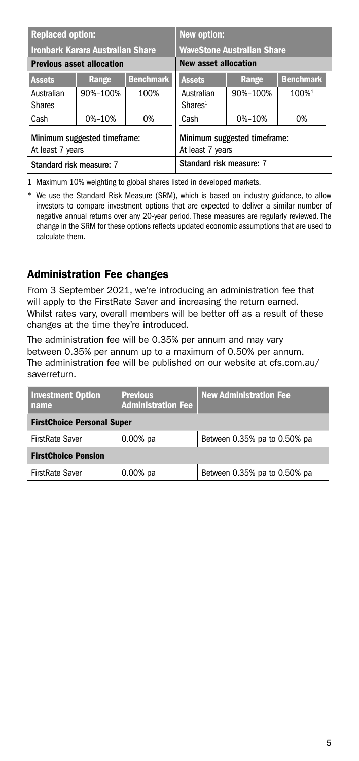<span id="page-4-0"></span>

| <b>Replaced option:</b>                          |                                         |                                                  | <b>New option:</b>                |                                   |                   |
|--------------------------------------------------|-----------------------------------------|--------------------------------------------------|-----------------------------------|-----------------------------------|-------------------|
|                                                  | <b>Ironbark Karara Australian Share</b> |                                                  |                                   | <b>WaveStone Australian Share</b> |                   |
| <b>Previous asset allocation</b>                 |                                         | <b>New asset allocation</b>                      |                                   |                                   |                   |
| <b>Assets</b>                                    | Range                                   | <b>Benchmark</b>                                 | <b>Assets</b>                     | Range                             | <b>Benchmark</b>  |
| Australian<br><b>Shares</b>                      | 90%-100%                                | 100%                                             | Australian<br>Shares <sup>1</sup> | 90%-100%                          | 100% <sup>1</sup> |
| Cash                                             | 0%-10%                                  | 0%                                               | Cash                              | 0%-10%                            | 0%                |
| Minimum suggested timeframe:<br>At least 7 years |                                         | Minimum suggested timeframe:<br>At least 7 years |                                   |                                   |                   |
| Standard risk measure: 7                         |                                         | Standard risk measure: 7                         |                                   |                                   |                   |

1 Maximum 10% weighting to global shares listed in developed markets.

\* We use the Standard Risk Measure (SRM), which is based on industry guidance, to allow investors to compare investment options that are expected to deliver a similar number of negative annual returns over any 20-year period. These measures are regularly reviewed. The change in the SRM for these options reflects updated economic assumptions that are used to calculate them.

#### Administration Fee changes

From 3 September 2021, we're introducing an administration fee that will apply to the FirstRate Saver and increasing the return earned. Whilst rates vary, overall members will be better off as a result of these changes at the time they're introduced.

The administration fee will be 0.35% per annum and may vary between 0.35% per annum up to a maximum of 0.50% per annum. The administration fee will be published on our website at cfs.com.au/ saverreturn.

| <b>Investment Option</b><br>name  | <b>Previous</b><br><b>Administration Fee</b> | <b>New Administration Fee</b> |
|-----------------------------------|----------------------------------------------|-------------------------------|
| <b>FirstChoice Personal Super</b> |                                              |                               |
| <b>FirstRate Saver</b>            | $0.00%$ pa                                   | Between 0.35% pa to 0.50% pa  |
| <b>FirstChoice Pension</b>        |                                              |                               |
| <b>FirstRate Saver</b>            | $0.00%$ pa                                   | Between 0.35% pa to 0.50% pa  |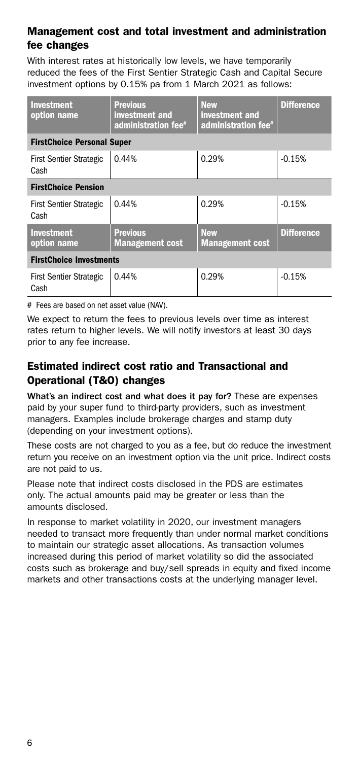#### <span id="page-5-0"></span>Management cost and total investment and administration fee changes

With interest rates at historically low levels, we have temporarily reduced the fees of the First Sentier Strategic Cash and Capital Secure investment options by 0.15% pa from 1 March 2021 as follows:

| <b>Investment</b><br>option name       | <b>Previous</b><br>investment and<br>administration fee <sup>#</sup> | <b>New</b><br>investment and<br>administration fee <sup>#</sup> | <b>Difference</b> |
|----------------------------------------|----------------------------------------------------------------------|-----------------------------------------------------------------|-------------------|
| <b>FirstChoice Personal Super</b>      |                                                                      |                                                                 |                   |
| <b>First Sentier Strategic</b><br>Cash | 0.44%                                                                | 0.29%                                                           | $-0.15%$          |
| <b>FirstChoice Pension</b>             |                                                                      |                                                                 |                   |
| <b>First Sentier Strategic</b><br>Cash | 0.44%                                                                | 0.29%                                                           | $-0.15%$          |
| <b>Investment</b><br>option name       | <b>Previous</b><br><b>Management cost</b>                            | <b>New</b><br><b>Management cost</b>                            | <b>Difference</b> |
| <b>FirstChoice Investments</b>         |                                                                      |                                                                 |                   |
| <b>First Sentier Strategic</b><br>Cash | 0.44%                                                                | 0.29%                                                           | $-0.15%$          |

# Fees are based on net asset value (NAV).

We expect to return the fees to previous levels over time as interest rates return to higher levels. We will notify investors at least 30 days prior to any fee increase.

#### Estimated indirect cost ratio and Transactional and Operational (T&O) changes

What's an indirect cost and what does it pay for? These are expenses paid by your super fund to third-party providers, such as investment managers. Examples include brokerage charges and stamp duty (depending on your investment options).

These costs are not charged to you as a fee, but do reduce the investment return you receive on an investment option via the unit price. Indirect costs are not paid to us.

Please note that indirect costs disclosed in the PDS are estimates only. The actual amounts paid may be greater or less than the amounts disclosed.

In response to market volatility in 2020, our investment managers needed to transact more frequently than under normal market conditions to maintain our strategic asset allocations. As transaction volumes increased during this period of market volatility so did the associated costs such as brokerage and buy/sell spreads in equity and fixed income markets and other transactions costs at the underlying manager level.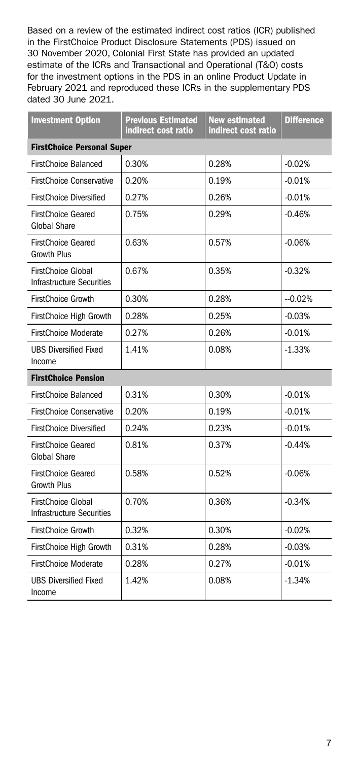Based on a review of the estimated indirect cost ratios (ICR) published in the FirstChoice Product Disclosure Statements (PDS) issued on 30 November 2020, Colonial First State has provided an updated estimate of the ICRs and Transactional and Operational (T&O) costs for the investment options in the PDS in an online Product Update in February 2021 and reproduced these ICRs in the supplementary PDS dated 30 June 2021.

| <b>Investment Option</b>                                      | <b>Previous Estimated</b><br>indirect cost ratio | <b>New estimated</b><br>indirect cost ratio | <b>Difference</b> |
|---------------------------------------------------------------|--------------------------------------------------|---------------------------------------------|-------------------|
| <b>FirstChoice Personal Super</b>                             |                                                  |                                             |                   |
| FirstChoice Balanced                                          | 0.30%                                            | 0.28%                                       | $-0.02%$          |
| <b>FirstChoice Conservative</b>                               | 0.20%                                            | 0.19%                                       | $-0.01%$          |
| <b>FirstChoice Diversified</b>                                | 0.27%                                            | 0.26%                                       | $-0.01%$          |
| <b>FirstChoice Geared</b><br>Global Share                     | 0.75%                                            | 0.29%                                       | $-0.46%$          |
| <b>FirstChoice Geared</b><br><b>Growth Plus</b>               | 0.63%                                            | 0.57%                                       | $-0.06%$          |
| FirstChoice Global<br><b>Infrastructure Securities</b>        | 0.67%                                            | 0.35%                                       | $-0.32%$          |
| <b>FirstChoice Growth</b>                                     | 0.30%                                            | 0.28%                                       | $-0.02%$          |
| FirstChoice High Growth                                       | 0.28%                                            | 0.25%                                       | $-0.03%$          |
| <b>FirstChoice Moderate</b>                                   | 0.27%                                            | 0.26%                                       | $-0.01%$          |
| <b>UBS Diversified Fixed</b><br>Income                        | 1.41%                                            | 0.08%                                       | $-1.33%$          |
| <b>FirstChoice Pension</b>                                    |                                                  |                                             |                   |
| <b>FirstChoice Balanced</b>                                   | 0.31%                                            | 0.30%                                       | $-0.01%$          |
| <b>FirstChoice Conservative</b>                               | 0.20%                                            | 0.19%                                       | $-0.01%$          |
| <b>FirstChoice Diversified</b>                                | 0.24%                                            | 0.23%                                       | $-0.01%$          |
| <b>FirstChoice Geared</b><br><b>Global Share</b>              | 0.81%                                            | 0.37%                                       | $-0.44%$          |
| <b>FirstChoice Geared</b><br><b>Growth Plus</b>               | 0.58%                                            | 0.52%                                       | $-0.06%$          |
| <b>FirstChoice Global</b><br><b>Infrastructure Securities</b> | 0.70%                                            | 0.36%                                       | $-0.34%$          |
| <b>FirstChoice Growth</b>                                     | 0.32%                                            | 0.30%                                       | $-0.02%$          |
| FirstChoice High Growth                                       | 0.31%                                            | 0.28%                                       | $-0.03%$          |
| <b>FirstChoice Moderate</b>                                   | 0.28%                                            | 0.27%                                       | $-0.01%$          |
| <b>UBS Diversified Fixed</b><br>Income                        | 1.42%                                            | 0.08%                                       | $-1.34%$          |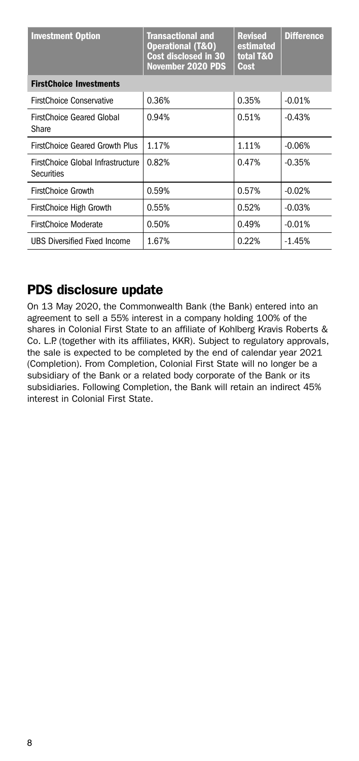<span id="page-7-0"></span>

| <b>Investment Option</b>                               | <b>Transactional and</b><br><b>Operational (T&amp;O)</b><br>Cost disclosed in 30<br>November 2020 PDS | <b>Revised</b><br>estimated<br>total T&O<br>Cost | <b>Difference</b> |
|--------------------------------------------------------|-------------------------------------------------------------------------------------------------------|--------------------------------------------------|-------------------|
| <b>FirstChoice Investments</b>                         |                                                                                                       |                                                  |                   |
| <b>FirstChoice Conservative</b>                        | 0.36%                                                                                                 | 0.35%                                            | $-0.01%$          |
| <b>FirstChoice Geared Global</b><br>Share              | 0.94%                                                                                                 | 0.51%                                            | $-0.43%$          |
| <b>FirstChoice Geared Growth Plus</b>                  | 1.17%                                                                                                 | 1.11%                                            | $-0.06%$          |
| FirstChoice Global Infrastructure<br><b>Securities</b> | 0.82%                                                                                                 | 0.47%                                            | $-0.35%$          |
| <b>FirstChoice Growth</b>                              | 0.59%                                                                                                 | 0.57%                                            | $-0.02%$          |
| FirstChoice High Growth                                | 0.55%                                                                                                 | 0.52%                                            | $-0.03%$          |
| FirstChoice Moderate                                   | 0.50%                                                                                                 | 0.49%                                            | $-0.01%$          |
| <b>UBS Diversified Fixed Income</b>                    | 1.67%                                                                                                 | 0.22%                                            | $-1.45%$          |

## PDS disclosure update

On 13 May 2020, the Commonwealth Bank (the Bank) entered into an agreement to sell a 55% interest in a company holding 100% of the shares in Colonial First State to an affiliate of Kohlberg Kravis Roberts & Co. L.P. (together with its affiliates, KKR). Subject to regulatory approvals, the sale is expected to be completed by the end of calendar year 2021 (Completion). From Completion, Colonial First State will no longer be a subsidiary of the Bank or a related body corporate of the Bank or its subsidiaries. Following Completion, the Bank will retain an indirect 45% interest in Colonial First State.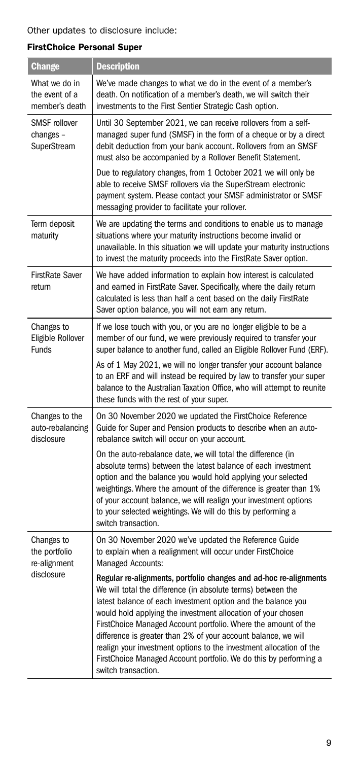#### FirstChoice Personal Super

| <b>Change</b>                                     | <b>Description</b>                                                                                                                                                                                                                                                                                                                                                                                                                                                                                                                                                       |
|---------------------------------------------------|--------------------------------------------------------------------------------------------------------------------------------------------------------------------------------------------------------------------------------------------------------------------------------------------------------------------------------------------------------------------------------------------------------------------------------------------------------------------------------------------------------------------------------------------------------------------------|
| What we do in<br>the event of a<br>member's death | We've made changes to what we do in the event of a member's<br>death. On notification of a member's death, we will switch their<br>investments to the First Sentier Strategic Cash option.                                                                                                                                                                                                                                                                                                                                                                               |
| <b>SMSF</b> rollover<br>changes-<br>SuperStream   | Until 30 September 2021, we can receive rollovers from a self-<br>managed super fund (SMSF) in the form of a cheque or by a direct<br>debit deduction from your bank account. Rollovers from an SMSF<br>must also be accompanied by a Rollover Benefit Statement.                                                                                                                                                                                                                                                                                                        |
|                                                   | Due to regulatory changes, from 1 October 2021 we will only be<br>able to receive SMSF rollovers via the SuperStream electronic<br>payment system. Please contact your SMSF administrator or SMSF<br>messaging provider to facilitate your rollover.                                                                                                                                                                                                                                                                                                                     |
| Term deposit<br>maturity                          | We are updating the terms and conditions to enable us to manage<br>situations where your maturity instructions become invalid or<br>unavailable. In this situation we will update your maturity instructions<br>to invest the maturity proceeds into the FirstRate Saver option.                                                                                                                                                                                                                                                                                         |
| <b>FirstRate Saver</b><br>return                  | We have added information to explain how interest is calculated<br>and earned in FirstRate Saver. Specifically, where the daily return<br>calculated is less than half a cent based on the daily FirstRate<br>Saver option balance, you will not earn any return.                                                                                                                                                                                                                                                                                                        |
| Changes to<br>Eligible Rollover<br><b>Funds</b>   | If we lose touch with you, or you are no longer eligible to be a<br>member of our fund, we were previously required to transfer your<br>super balance to another fund, called an Eligible Rollover Fund (ERF).                                                                                                                                                                                                                                                                                                                                                           |
|                                                   | As of 1 May 2021, we will no longer transfer your account balance<br>to an ERF and will instead be required by law to transfer your super<br>balance to the Australian Taxation Office, who will attempt to reunite<br>these funds with the rest of your super.                                                                                                                                                                                                                                                                                                          |
| Changes to the<br>auto-rebalancing<br>disclosure  | On 30 November 2020 we updated the FirstChoice Reference<br>Guide for Super and Pension products to describe when an auto-<br>rebalance switch will occur on your account.                                                                                                                                                                                                                                                                                                                                                                                               |
|                                                   | On the auto-rebalance date, we will total the difference (in<br>absolute terms) between the latest balance of each investment<br>option and the balance you would hold applying your selected<br>weightings. Where the amount of the difference is greater than 1%<br>of your account balance, we will realign your investment options<br>to your selected weightings. We will do this by performing a<br>switch transaction.                                                                                                                                            |
| Changes to<br>the portfolio<br>re-alignment       | On 30 November 2020 we've updated the Reference Guide<br>to explain when a realignment will occur under FirstChoice<br>Managed Accounts:                                                                                                                                                                                                                                                                                                                                                                                                                                 |
| disclosure                                        | Regular re-alignments, portfolio changes and ad-hoc re-alignments<br>We will total the difference (in absolute terms) between the<br>latest balance of each investment option and the balance you<br>would hold applying the investment allocation of your chosen<br>FirstChoice Managed Account portfolio. Where the amount of the<br>difference is greater than 2% of your account balance, we will<br>realign your investment options to the investment allocation of the<br>FirstChoice Managed Account portfolio. We do this by performing a<br>switch transaction. |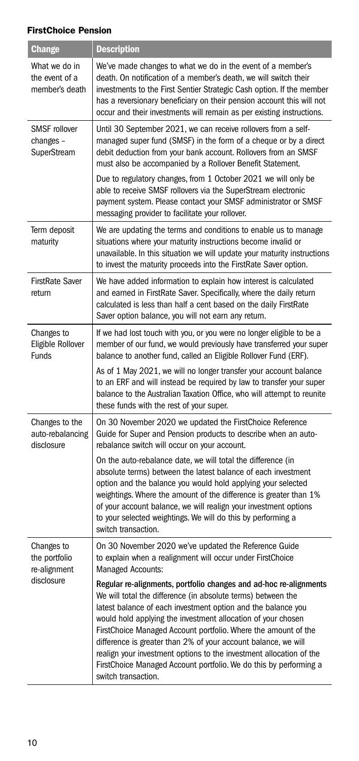#### FirstChoice Pension

| Change                                            | <b>Description</b>                                                                                                                                                                                                                                                                                                                                                                                                                                                                                                                                                       |
|---------------------------------------------------|--------------------------------------------------------------------------------------------------------------------------------------------------------------------------------------------------------------------------------------------------------------------------------------------------------------------------------------------------------------------------------------------------------------------------------------------------------------------------------------------------------------------------------------------------------------------------|
| What we do in<br>the event of a<br>member's death | We've made changes to what we do in the event of a member's<br>death. On notification of a member's death, we will switch their<br>investments to the First Sentier Strategic Cash option. If the member<br>has a reversionary beneficiary on their pension account this will not<br>occur and their investments will remain as per existing instructions.                                                                                                                                                                                                               |
| SMSF rollover<br>changes -<br>SuperStream         | Until 30 September 2021, we can receive rollovers from a self-<br>managed super fund (SMSF) in the form of a cheque or by a direct<br>debit deduction from your bank account. Rollovers from an SMSF<br>must also be accompanied by a Rollover Benefit Statement.                                                                                                                                                                                                                                                                                                        |
|                                                   | Due to regulatory changes, from 1 October 2021 we will only be<br>able to receive SMSF rollovers via the SuperStream electronic<br>payment system. Please contact your SMSF administrator or SMSF<br>messaging provider to facilitate your rollover.                                                                                                                                                                                                                                                                                                                     |
| Term deposit<br>maturity                          | We are updating the terms and conditions to enable us to manage<br>situations where your maturity instructions become invalid or<br>unavailable. In this situation we will update your maturity instructions<br>to invest the maturity proceeds into the FirstRate Saver option.                                                                                                                                                                                                                                                                                         |
| <b>FirstRate Saver</b><br>return                  | We have added information to explain how interest is calculated<br>and earned in FirstRate Saver. Specifically, where the daily return<br>calculated is less than half a cent based on the daily FirstRate<br>Saver option balance, you will not earn any return.                                                                                                                                                                                                                                                                                                        |
| Changes to<br>Eligible Rollover<br>Funds          | If we had lost touch with you, or you were no longer eligible to be a<br>member of our fund, we would previously have transferred your super<br>balance to another fund, called an Eligible Rollover Fund (ERF).                                                                                                                                                                                                                                                                                                                                                         |
|                                                   | As of 1 May 2021, we will no longer transfer your account balance<br>to an ERF and will instead be required by law to transfer your super<br>balance to the Australian Taxation Office, who will attempt to reunite<br>these funds with the rest of your super.                                                                                                                                                                                                                                                                                                          |
| Changes to the<br>auto-rebalancing<br>disclosure  | On 30 November 2020 we updated the FirstChoice Reference<br>Guide for Super and Pension products to describe when an auto-<br>rebalance switch will occur on your account.                                                                                                                                                                                                                                                                                                                                                                                               |
|                                                   | On the auto-rebalance date, we will total the difference (in<br>absolute terms) between the latest balance of each investment<br>option and the balance you would hold applying your selected<br>weightings. Where the amount of the difference is greater than 1%<br>of your account balance, we will realign your investment options<br>to your selected weightings. We will do this by performing a<br>switch transaction.                                                                                                                                            |
| Changes to<br>the portfolio<br>re-alignment       | On 30 November 2020 we've updated the Reference Guide<br>to explain when a realignment will occur under FirstChoice<br>Managed Accounts:                                                                                                                                                                                                                                                                                                                                                                                                                                 |
| disclosure                                        | Regular re-alignments, portfolio changes and ad-hoc re-alignments<br>We will total the difference (in absolute terms) between the<br>latest balance of each investment option and the balance you<br>would hold applying the investment allocation of your chosen<br>FirstChoice Managed Account portfolio. Where the amount of the<br>difference is greater than 2% of your account balance, we will<br>realign your investment options to the investment allocation of the<br>FirstChoice Managed Account portfolio. We do this by performing a<br>switch transaction. |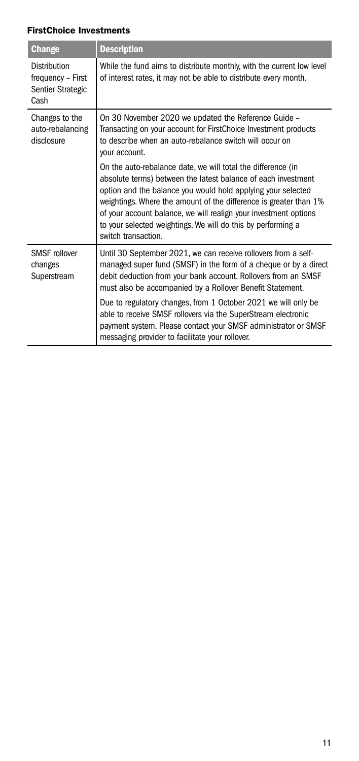| <b>Change</b>                                                  | <b>Description</b>                                                                                                                                                                                                                                                                                                                                                                                                            |
|----------------------------------------------------------------|-------------------------------------------------------------------------------------------------------------------------------------------------------------------------------------------------------------------------------------------------------------------------------------------------------------------------------------------------------------------------------------------------------------------------------|
| Distribution<br>frequency - First<br>Sentier Strategic<br>Cash | While the fund aims to distribute monthly, with the current low level<br>of interest rates, it may not be able to distribute every month.                                                                                                                                                                                                                                                                                     |
| Changes to the<br>auto-rebalancing<br>disclosure               | On 30 November 2020 we updated the Reference Guide -<br>Transacting on your account for FirstChoice Investment products<br>to describe when an auto-rebalance switch will occur on<br>your account.                                                                                                                                                                                                                           |
|                                                                | On the auto-rebalance date, we will total the difference (in<br>absolute terms) between the latest balance of each investment<br>option and the balance you would hold applying your selected<br>weightings. Where the amount of the difference is greater than 1%<br>of your account balance, we will realign your investment options<br>to your selected weightings. We will do this by performing a<br>switch transaction. |
| <b>SMSF</b> rollover<br>changes<br>Superstream                 | Until 30 September 2021, we can receive rollovers from a self-<br>managed super fund (SMSF) in the form of a cheque or by a direct<br>debit deduction from your bank account. Rollovers from an SMSF<br>must also be accompanied by a Rollover Benefit Statement.                                                                                                                                                             |
|                                                                | Due to regulatory changes, from 1 October 2021 we will only be<br>able to receive SMSF rollovers via the SuperStream electronic<br>payment system. Please contact your SMSF administrator or SMSF<br>messaging provider to facilitate your rollover.                                                                                                                                                                          |

#### FirstChoice Investments